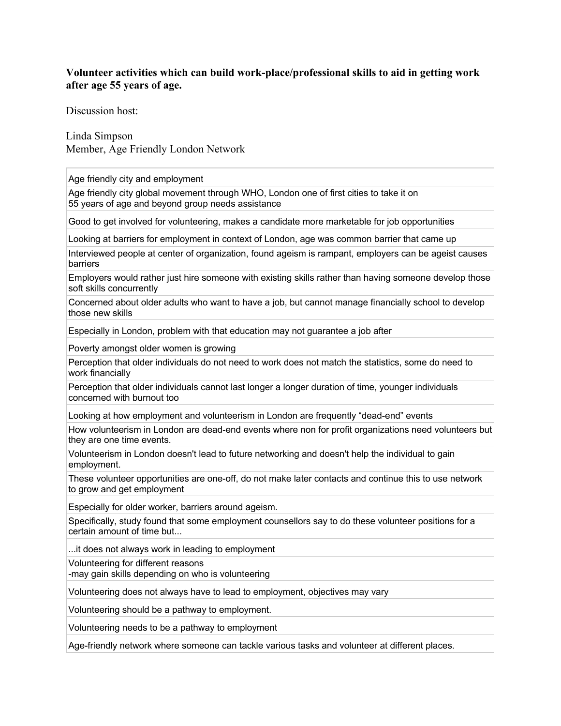## **Volunteer activities which can build work-place/professional skills to aid in getting work after age 55 years of age.**

Discussion host:

Linda Simpson Member, Age Friendly London Network

Age friendly city and employment

Age friendly city global movement through WHO, London one of first cities to take it on 55 years of age and beyond group needs assistance

Good to get involved for volunteering, makes a candidate more marketable for job opportunities

Looking at barriers for employment in context of London, age was common barrier that came up

Interviewed people at center of organization, found ageism is rampant, employers can be ageist causes barriers

Employers would rather just hire someone with existing skills rather than having someone develop those soft skills concurrently

Concerned about older adults who want to have a job, but cannot manage financially school to develop those new skills

Especially in London, problem with that education may not guarantee a job after

Poverty amongst older women is growing

Perception that older individuals do not need to work does not match the statistics, some do need to work financially

Perception that older individuals cannot last longer a longer duration of time, younger individuals concerned with burnout too

Looking at how employment and volunteerism in London are frequently "dead-end" events

How volunteerism in London are dead-end events where non for profit organizations need volunteers but they are one time events.

Volunteerism in London doesn't lead to future networking and doesn't help the individual to gain employment.

These volunteer opportunities are one-off, do not make later contacts and continue this to use network to grow and get employment

Especially for older worker, barriers around ageism.

Specifically, study found that some employment counsellors say to do these volunteer positions for a certain amount of time but...

...it does not always work in leading to employment

Volunteering for different reasons

-may gain skills depending on who is volunteering

Volunteering does not always have to lead to employment, objectives may vary

Volunteering should be a pathway to employment.

Volunteering needs to be a pathway to employment

Age-friendly network where someone can tackle various tasks and volunteer at different places.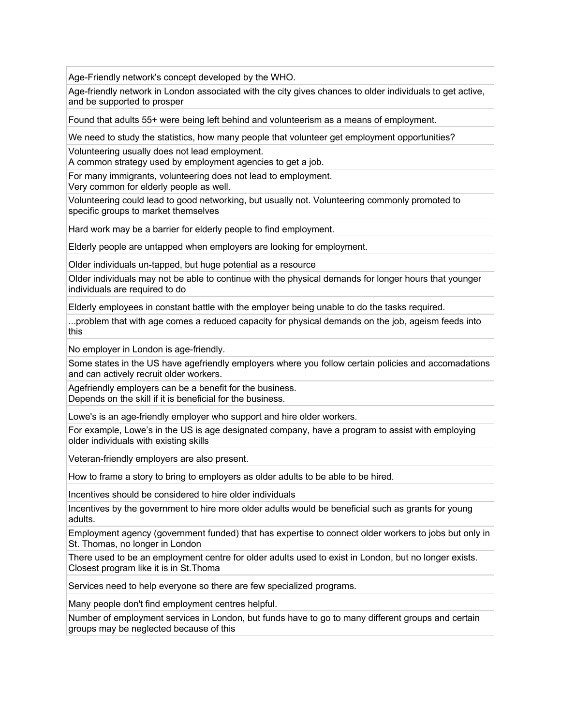Age-Friendly network's concept developed by the WHO.

Age-friendly network in London associated with the city gives chances to older individuals to get active, and be supported to prosper

Found that adults 55+ were being left behind and volunteerism as a means of employment.

We need to study the statistics, how many people that volunteer get employment opportunities?

Volunteering usually does not lead employment.

A common strategy used by employment agencies to get a job.

For many immigrants, volunteering does not lead to employment.

Very common for elderly people as well.

Volunteering could lead to good networking, but usually not. Volunteering commonly promoted to specific groups to market themselves

Hard work may be a barrier for elderly people to find employment.

Elderly people are untapped when employers are looking for employment.

Older individuals un-tapped, but huge potential as a resource

Older individuals may not be able to continue with the physical demands for longer hours that younger individuals are required to do

Elderly employees in constant battle with the employer being unable to do the tasks required.

...problem that with age comes a reduced capacity for physical demands on the job, ageism feeds into this

No employer in London is age-friendly.

Some states in the US have agefriendly employers where you follow certain policies and accomadations and can actively recruit older workers.

Agefriendly employers can be a benefit for the business. Depends on the skill if it is beneficial for the business.

Lowe's is an age-friendly employer who support and hire older workers.

For example, Lowe's in the US is age designated company, have a program to assist with employing older individuals with existing skills

Veteran-friendly employers are also present.

How to frame a story to bring to employers as older adults to be able to be hired.

Incentives should be considered to hire older individuals

Incentives by the government to hire more older adults would be beneficial such as grants for young adults.

Employment agency (government funded) that has expertise to connect older workers to jobs but only in St. Thomas, no longer in London

There used to be an employment centre for older adults used to exist in London, but no longer exists. Closest program like it is in St.Thoma

Services need to help everyone so there are few specialized programs.

Many people don't find employment centres helpful.

Number of employment services in London, but funds have to go to many different groups and certain groups may be neglected because of this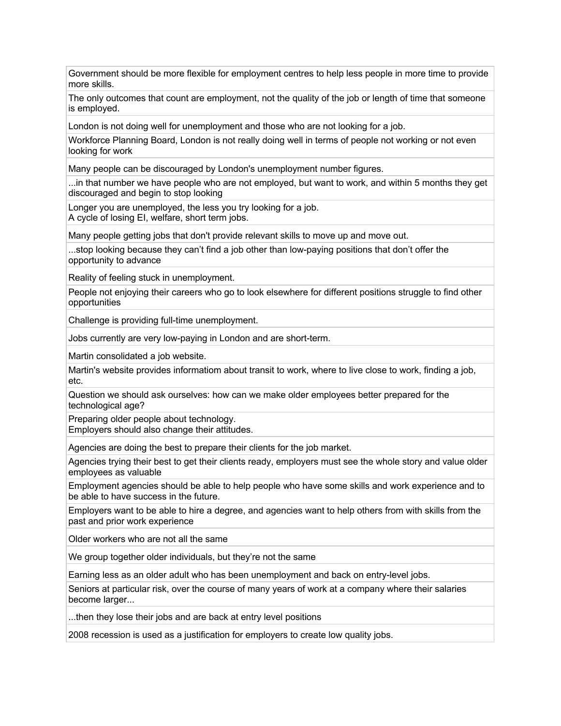Government should be more flexible for employment centres to help less people in more time to provide more skills.

The only outcomes that count are employment, not the quality of the job or length of time that someone is employed.

London is not doing well for unemployment and those who are not looking for a job.

Workforce Planning Board, London is not really doing well in terms of people not working or not even looking for work

Many people can be discouraged by London's unemployment number figures.

...in that number we have people who are not employed, but want to work, and within 5 months they get discouraged and begin to stop looking

Longer you are unemployed, the less you try looking for a job.

A cycle of losing EI, welfare, short term jobs.

Many people getting jobs that don't provide relevant skills to move up and move out.

...stop looking because they can't find a job other than low-paying positions that don't offer the opportunity to advance

Reality of feeling stuck in unemployment.

People not enjoying their careers who go to look elsewhere for different positions struggle to find other opportunities

Challenge is providing full-time unemployment.

Jobs currently are very low-paying in London and are short-term.

Martin consolidated a job website.

Martin's website provides informatiom about transit to work, where to live close to work, finding a job, etc.

Question we should ask ourselves: how can we make older employees better prepared for the technological age?

Preparing older people about technology. Employers should also change their attitudes.

Agencies are doing the best to prepare their clients for the job market.

Agencies trying their best to get their clients ready, employers must see the whole story and value older employees as valuable

Employment agencies should be able to help people who have some skills and work experience and to be able to have success in the future.

Employers want to be able to hire a degree, and agencies want to help others from with skills from the past and prior work experience

Older workers who are not all the same

We group together older individuals, but they're not the same

Earning less as an older adult who has been unemployment and back on entry-level jobs.

Seniors at particular risk, over the course of many years of work at a company where their salaries become larger...

...then they lose their jobs and are back at entry level positions

2008 recession is used as a justification for employers to create low quality jobs.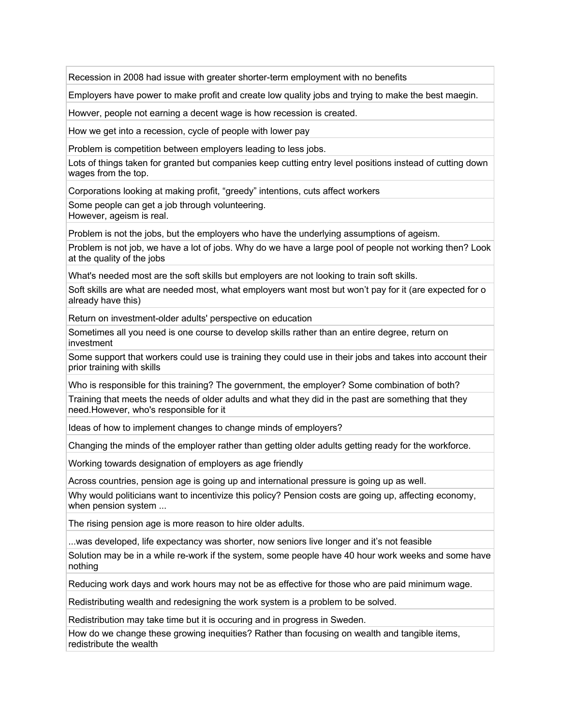Recession in 2008 had issue with greater shorter-term employment with no benefits

Employers have power to make profit and create low quality jobs and trying to make the best maegin.

Howver, people not earning a decent wage is how recession is created.

How we get into a recession, cycle of people with lower pay

Problem is competition between employers leading to less jobs.

Lots of things taken for granted but companies keep cutting entry level positions instead of cutting down wages from the top.

Corporations looking at making profit, "greedy" intentions, cuts affect workers

Some people can get a job through volunteering.

However, ageism is real.

Problem is not the jobs, but the employers who have the underlying assumptions of ageism.

Problem is not job, we have a lot of jobs. Why do we have a large pool of people not working then? Look at the quality of the jobs

What's needed most are the soft skills but employers are not looking to train soft skills.

Soft skills are what are needed most, what employers want most but won't pay for it (are expected for o already have this)

Return on investment-older adults' perspective on education

Sometimes all you need is one course to develop skills rather than an entire degree, return on investment

Some support that workers could use is training they could use in their jobs and takes into account their prior training with skills

Who is responsible for this training? The government, the employer? Some combination of both? Training that meets the needs of older adults and what they did in the past are something that they need.However, who's responsible for it

Ideas of how to implement changes to change minds of employers?

Changing the minds of the employer rather than getting older adults getting ready for the workforce.

Working towards designation of employers as age friendly

Across countries, pension age is going up and international pressure is going up as well.

Why would politicians want to incentivize this policy? Pension costs are going up, affecting economy, when pension system ...

The rising pension age is more reason to hire older adults.

...was developed, life expectancy was shorter, now seniors live longer and it's not feasible

Solution may be in a while re-work if the system, some people have 40 hour work weeks and some have nothing

Reducing work days and work hours may not be as effective for those who are paid minimum wage.

Redistributing wealth and redesigning the work system is a problem to be solved.

Redistribution may take time but it is occuring and in progress in Sweden.

How do we change these growing inequities? Rather than focusing on wealth and tangible items, redistribute the wealth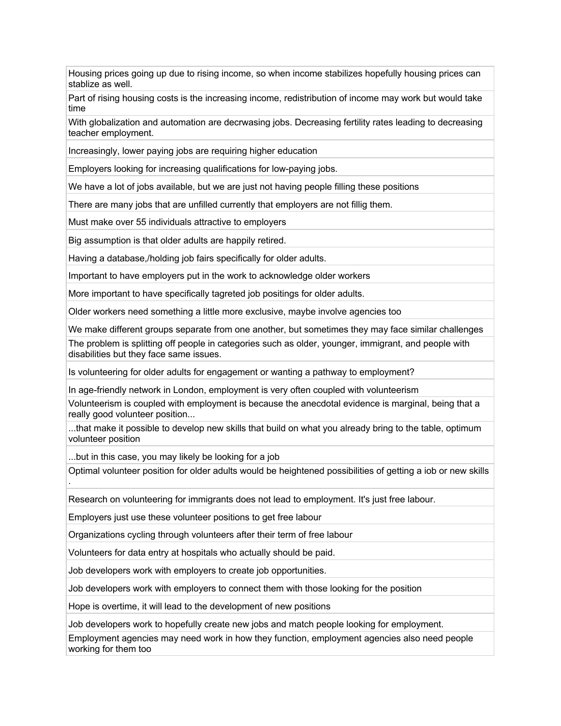Housing prices going up due to rising income, so when income stabilizes hopefully housing prices can stablize as well.

Part of rising housing costs is the increasing income, redistribution of income may work but would take time

With globalization and automation are decrwasing jobs. Decreasing fertility rates leading to decreasing teacher employment.

Increasingly, lower paying jobs are requiring higher education

Employers looking for increasing qualifications for low-paying jobs.

We have a lot of jobs available, but we are just not having people filling these positions

There are many jobs that are unfilled currently that employers are not fillig them.

Must make over 55 individuals attractive to employers

Big assumption is that older adults are happily retired.

Having a database,/holding job fairs specifically for older adults.

Important to have employers put in the work to acknowledge older workers

More important to have specifically tagreted job positings for older adults.

Older workers need something a little more exclusive, maybe involve agencies too

We make different groups separate from one another, but sometimes they may face similar challenges

The problem is splitting off people in categories such as older, younger, immigrant, and people with disabilities but they face same issues.

Is volunteering for older adults for engagement or wanting a pathway to employment?

In age-friendly network in London, employment is very often coupled with volunteerism

Volunteerism is coupled with employment is because the anecdotal evidence is marginal, being that a really good volunteer position...

...that make it possible to develop new skills that build on what you already bring to the table, optimum volunteer position

...but in this case, you may likely be looking for a job

Optimal volunteer position for older adults would be heightened possibilities of getting a iob or new skills .

Research on volunteering for immigrants does not lead to employment. It's just free labour.

Employers just use these volunteer positions to get free labour

Organizations cycling through volunteers after their term of free labour

Volunteers for data entry at hospitals who actually should be paid.

Job developers work with employers to create job opportunities.

Job developers work with employers to connect them with those looking for the position

Hope is overtime, it will lead to the development of new positions

Job developers work to hopefully create new jobs and match people looking for employment.

Employment agencies may need work in how they function, employment agencies also need people working for them too